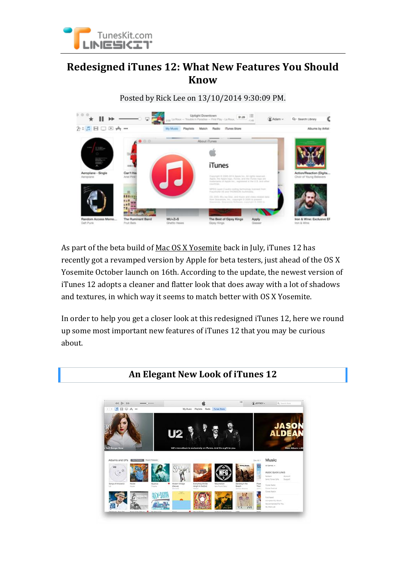

## **Redesigned iTunes 12: What New Features You Should Know**

Posted by Rick Lee on 13/10/2014 9:30:09 PM.



As part of the beta build of [Mac OS X Yosemite](http://www.tuneskit.com/news/remove-itunes-drm-on-mac-os-x-yosemite.html) back in July, iTunes 12 has recently got a revamped version by Apple for beta testers, just ahead of the OS X Yosemite October launch on 16th. According to the update, the newest version of iTunes 12 adopts a cleaner and flatter look that does away with a lot of shadows and textures, in which way it seems to match better with OS X Yosemite.

In order to help you get a closer look at this redesigned iTunes 12, here we round up some most important new features of iTunes 12 that you may be curious about.

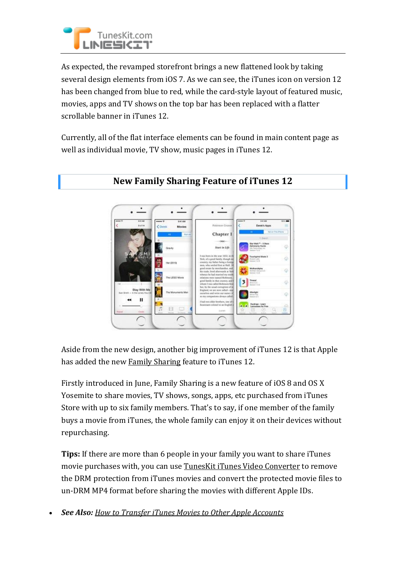

As expected, the revamped storefront brings a new flattened look by taking several design elements from iOS 7. As we can see, the iTunes icon on version 12 has been changed from blue to red, while the card-style layout of featured music, movies, apps and TV shows on the top bar has been replaced with a flatter scrollable banner in iTunes 12.

Currently, all of the flat interface elements can be found in main content page as well as individual movie, TV show, music pages in iTunes 12.



## **New Family Sharing Feature of iTunes 12**

Aside from the new design, another big improvement of iTunes 12 is that Apple has added the new [Family Sharing](http://www.tuneskit.com/reviews/new-family-sharing-in-ios8.html) feature to iTunes 12.

Firstly introduced in June, Family Sharing is a new feature of iOS 8 and OS X Yosemite to share movies, TV shows, songs, apps, etc purchased from iTunes Store with up to six family members. That's to say, if one member of the family buys a movie from iTunes, the whole family can enjoy it on their devices without repurchasing.

**Tips:** If there are more than 6 people in your family you want to share iTunes movie purchases with, you can use [TunesKit iTunes Video Converter](http://www.tuneskit.com/tuneskit-for-mac.html) to remove the DRM protection from iTunes movies and convert the protected movie files to un-DRM MP4 format before sharing the movies with different Apple IDs.

*See Also: [How to Transfer iTunes Movies to Other Apple Accounts](http://www.tuneskit.com/reviews/transfer-itunes-movies-to-another-account.html)*